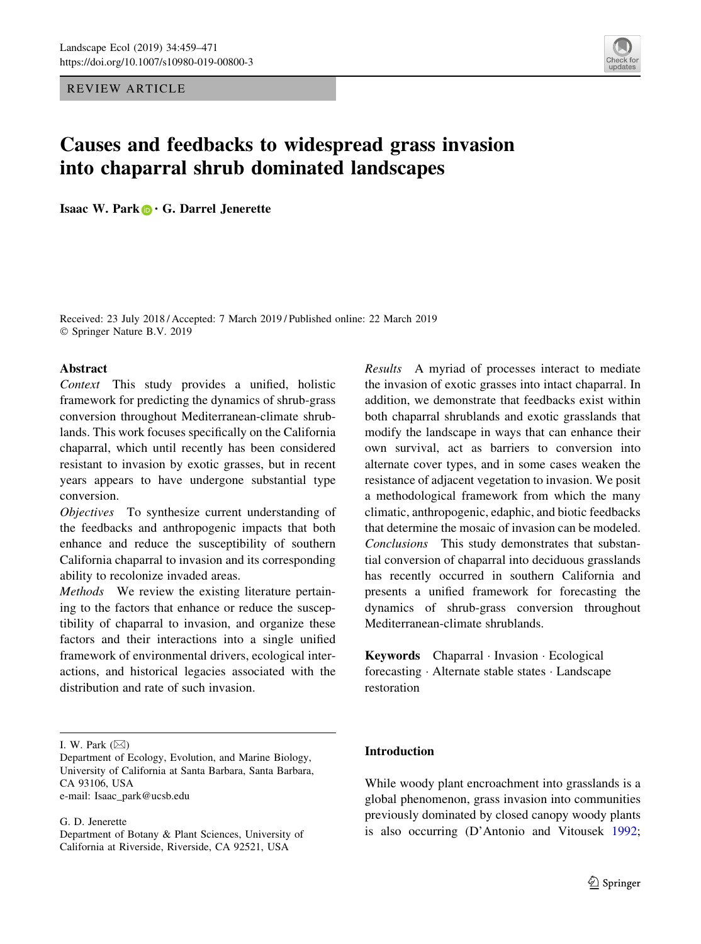REVIEW ARTICLE

# Causes and feedbacks to widespread grass invasion into chaparral shrub dominated landscapes

Isaac W. Park  $\bigcirc$  G. Darrel Jenerette

Received: 23 July 2018 / Accepted: 7 March 2019 / Published online: 22 March 2019 © Springer Nature B.V. 2019

## **Abstract**

Context This study provides a unified, holistic framework for predicting the dynamics of shrub-grass conversion throughout Mediterranean-climate shrublands. This work focuses specifically on the California chaparral, which until recently has been considered resistant to invasion by exotic grasses, but in recent years appears to have undergone substantial type conversion.

Objectives To synthesize current understanding of the feedbacks and anthropogenic impacts that both enhance and reduce the susceptibility of southern California chaparral to invasion and its corresponding ability to recolonize invaded areas.

Methods We review the existing literature pertaining to the factors that enhance or reduce the susceptibility of chaparral to invasion, and organize these factors and their interactions into a single unified framework of environmental drivers, ecological interactions, and historical legacies associated with the distribution and rate of such invasion.

G. D. Jenerette

Results A myriad of processes interact to mediate the invasion of exotic grasses into intact chaparral. In addition, we demonstrate that feedbacks exist within both chaparral shrublands and exotic grasslands that modify the landscape in ways that can enhance their own survival, act as barriers to conversion into alternate cover types, and in some cases weaken the resistance of adjacent vegetation to invasion. We posit a methodological framework from which the many climatic, anthropogenic, edaphic, and biotic feedbacks that determine the mosaic of invasion can be modeled. Conclusions This study demonstrates that substantial conversion of chaparral into deciduous grasslands has recently occurred in southern California and presents a unified framework for forecasting the dynamics of shrub-grass conversion throughout Mediterranean-climate shrublands.

Keywords Chaparral - Invasion - Ecological forecasting - Alternate stable states - Landscape restoration

# Introduction

While woody plant encroachment into grasslands is a global phenomenon, grass invasion into communities previously dominated by closed canopy woody plants is also occurring (D'Antonio and Vitousek [1992](#page-10-0);



I. W. Park  $(\boxtimes)$ 

Department of Ecology, Evolution, and Marine Biology, University of California at Santa Barbara, Santa Barbara, CA 93106, USA e-mail: Isaac\_park@ucsb.edu

Department of Botany & Plant Sciences, University of California at Riverside, Riverside, CA 92521, USA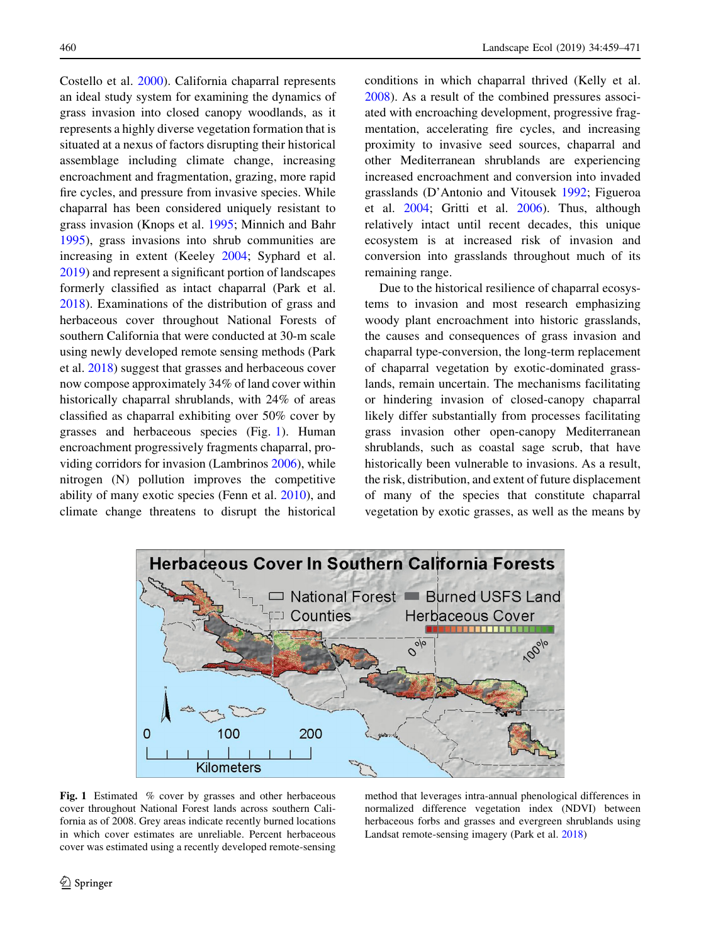Costello et al. [2000\)](#page-9-0). California chaparral represents an ideal study system for examining the dynamics of grass invasion into closed canopy woodlands, as it represents a highly diverse vegetation formation that is situated at a nexus of factors disrupting their historical assemblage including climate change, increasing encroachment and fragmentation, grazing, more rapid fire cycles, and pressure from invasive species. While chaparral has been considered uniquely resistant to grass invasion (Knops et al. [1995;](#page-11-0) Minnich and Bahr [1995\)](#page-11-0), grass invasions into shrub communities are increasing in extent (Keeley [2004](#page-10-0); Syphard et al. [2019\)](#page-11-0) and represent a significant portion of landscapes formerly classified as intact chaparral (Park et al. [2018\)](#page-11-0). Examinations of the distribution of grass and herbaceous cover throughout National Forests of southern California that were conducted at 30-m scale using newly developed remote sensing methods (Park et al. [2018\)](#page-11-0) suggest that grasses and herbaceous cover now compose approximately 34% of land cover within historically chaparral shrublands, with 24% of areas classified as chaparral exhibiting over 50% cover by grasses and herbaceous species (Fig. 1). Human encroachment progressively fragments chaparral, providing corridors for invasion (Lambrinos [2006\)](#page-11-0), while nitrogen (N) pollution improves the competitive ability of many exotic species (Fenn et al. [2010](#page-10-0)), and climate change threatens to disrupt the historical conditions in which chaparral thrived (Kelly et al. [2008\)](#page-11-0). As a result of the combined pressures associated with encroaching development, progressive fragmentation, accelerating fire cycles, and increasing proximity to invasive seed sources, chaparral and other Mediterranean shrublands are experiencing increased encroachment and conversion into invaded grasslands (D'Antonio and Vitousek [1992](#page-10-0); Figueroa et al. [2004](#page-10-0); Gritti et al. [2006\)](#page-10-0). Thus, although relatively intact until recent decades, this unique ecosystem is at increased risk of invasion and conversion into grasslands throughout much of its remaining range.

Due to the historical resilience of chaparral ecosystems to invasion and most research emphasizing woody plant encroachment into historic grasslands, the causes and consequences of grass invasion and chaparral type-conversion, the long-term replacement of chaparral vegetation by exotic-dominated grasslands, remain uncertain. The mechanisms facilitating or hindering invasion of closed-canopy chaparral likely differ substantially from processes facilitating grass invasion other open-canopy Mediterranean shrublands, such as coastal sage scrub, that have historically been vulnerable to invasions. As a result, the risk, distribution, and extent of future displacement of many of the species that constitute chaparral vegetation by exotic grasses, as well as the means by



Fig. 1 Estimated % cover by grasses and other herbaceous cover throughout National Forest lands across southern California as of 2008. Grey areas indicate recently burned locations in which cover estimates are unreliable. Percent herbaceous cover was estimated using a recently developed remote-sensing

method that leverages intra-annual phenological differences in normalized difference vegetation index (NDVI) between herbaceous forbs and grasses and evergreen shrublands using Landsat remote-sensing imagery (Park et al. [2018\)](#page-11-0)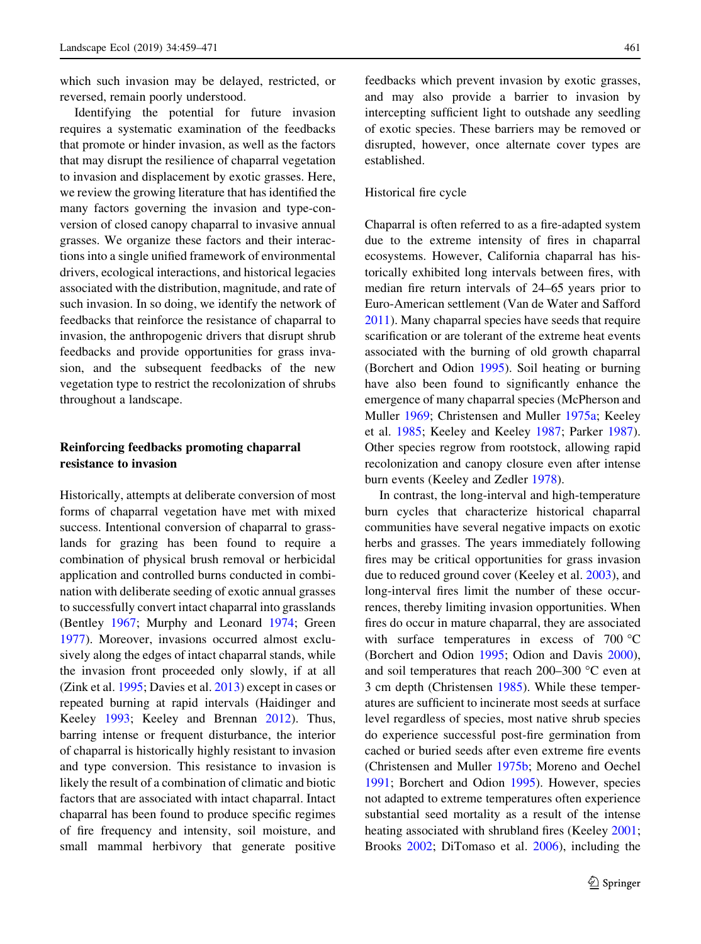which such invasion may be delayed, restricted, or reversed, remain poorly understood.

Identifying the potential for future invasion requires a systematic examination of the feedbacks that promote or hinder invasion, as well as the factors that may disrupt the resilience of chaparral vegetation to invasion and displacement by exotic grasses. Here, we review the growing literature that has identified the many factors governing the invasion and type-conversion of closed canopy chaparral to invasive annual grasses. We organize these factors and their interactions into a single unified framework of environmental drivers, ecological interactions, and historical legacies associated with the distribution, magnitude, and rate of such invasion. In so doing, we identify the network of feedbacks that reinforce the resistance of chaparral to invasion, the anthropogenic drivers that disrupt shrub feedbacks and provide opportunities for grass invasion, and the subsequent feedbacks of the new vegetation type to restrict the recolonization of shrubs throughout a landscape.

# Reinforcing feedbacks promoting chaparral resistance to invasion

Historically, attempts at deliberate conversion of most forms of chaparral vegetation have met with mixed success. Intentional conversion of chaparral to grasslands for grazing has been found to require a combination of physical brush removal or herbicidal application and controlled burns conducted in combination with deliberate seeding of exotic annual grasses to successfully convert intact chaparral into grasslands (Bentley [1967](#page-9-0); Murphy and Leonard [1974;](#page-11-0) Green [1977\)](#page-10-0). Moreover, invasions occurred almost exclusively along the edges of intact chaparral stands, while the invasion front proceeded only slowly, if at all (Zink et al. [1995;](#page-12-0) Davies et al. [2013\)](#page-10-0) except in cases or repeated burning at rapid intervals (Haidinger and Keeley [1993;](#page-10-0) Keeley and Brennan [2012](#page-10-0)). Thus, barring intense or frequent disturbance, the interior of chaparral is historically highly resistant to invasion and type conversion. This resistance to invasion is likely the result of a combination of climatic and biotic factors that are associated with intact chaparral. Intact chaparral has been found to produce specific regimes of fire frequency and intensity, soil moisture, and small mammal herbivory that generate positive feedbacks which prevent invasion by exotic grasses, and may also provide a barrier to invasion by intercepting sufficient light to outshade any seedling of exotic species. These barriers may be removed or disrupted, however, once alternate cover types are established.

## Historical fire cycle

Chaparral is often referred to as a fire-adapted system due to the extreme intensity of fires in chaparral ecosystems. However, California chaparral has historically exhibited long intervals between fires, with median fire return intervals of 24–65 years prior to Euro-American settlement (Van de Water and Safford [2011\)](#page-11-0). Many chaparral species have seeds that require scarification or are tolerant of the extreme heat events associated with the burning of old growth chaparral (Borchert and Odion [1995](#page-9-0)). Soil heating or burning have also been found to significantly enhance the emergence of many chaparral species (McPherson and Muller [1969;](#page-11-0) Christensen and Muller [1975a;](#page-9-0) Keeley et al. [1985](#page-10-0); Keeley and Keeley [1987](#page-10-0); Parker [1987](#page-11-0)). Other species regrow from rootstock, allowing rapid recolonization and canopy closure even after intense burn events (Keeley and Zedler [1978](#page-10-0)).

In contrast, the long-interval and high-temperature burn cycles that characterize historical chaparral communities have several negative impacts on exotic herbs and grasses. The years immediately following fires may be critical opportunities for grass invasion due to reduced ground cover (Keeley et al. [2003\)](#page-10-0), and long-interval fires limit the number of these occurrences, thereby limiting invasion opportunities. When fires do occur in mature chaparral, they are associated with surface temperatures in excess of  $700^{\circ}$ C (Borchert and Odion [1995;](#page-9-0) Odion and Davis [2000](#page-11-0)), and soil temperatures that reach  $200-300$  °C even at 3 cm depth (Christensen [1985](#page-9-0)). While these temperatures are sufficient to incinerate most seeds at surface level regardless of species, most native shrub species do experience successful post-fire germination from cached or buried seeds after even extreme fire events (Christensen and Muller [1975b;](#page-9-0) Moreno and Oechel [1991;](#page-11-0) Borchert and Odion [1995](#page-9-0)). However, species not adapted to extreme temperatures often experience substantial seed mortality as a result of the intense heating associated with shrubland fires (Keeley [2001](#page-10-0); Brooks [2002;](#page-9-0) DiTomaso et al. [2006](#page-10-0)), including the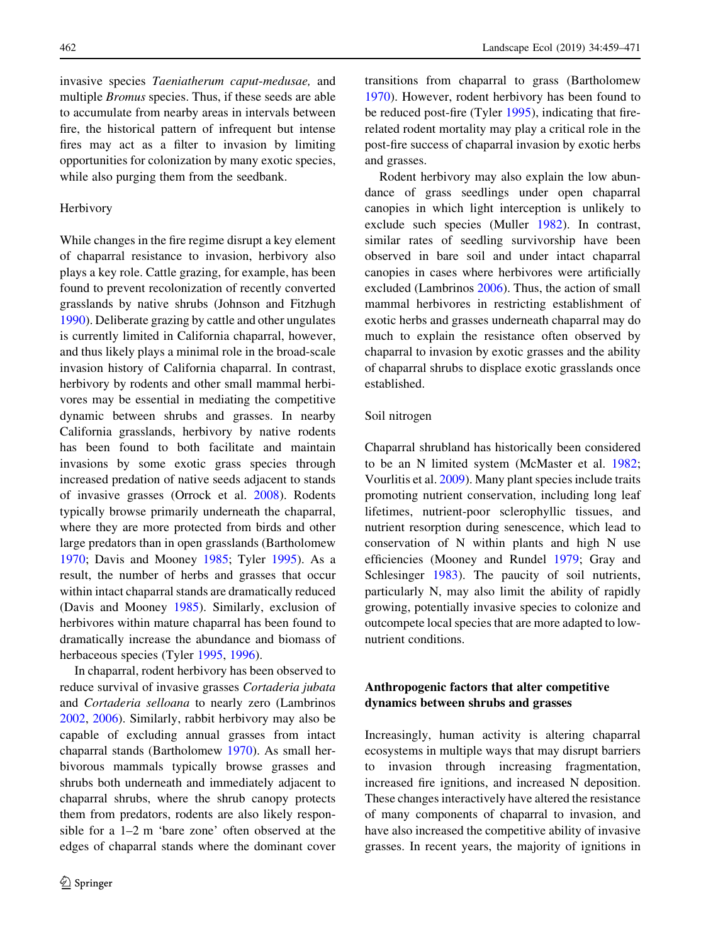invasive species Taeniatherum caput-medusae, and multiple Bromus species. Thus, if these seeds are able to accumulate from nearby areas in intervals between fire, the historical pattern of infrequent but intense fires may act as a filter to invasion by limiting opportunities for colonization by many exotic species, while also purging them from the seedbank.

## Herbivory

While changes in the fire regime disrupt a key element of chaparral resistance to invasion, herbivory also plays a key role. Cattle grazing, for example, has been found to prevent recolonization of recently converted grasslands by native shrubs (Johnson and Fitzhugh [1990\)](#page-10-0). Deliberate grazing by cattle and other ungulates is currently limited in California chaparral, however, and thus likely plays a minimal role in the broad-scale invasion history of California chaparral. In contrast, herbivory by rodents and other small mammal herbivores may be essential in mediating the competitive dynamic between shrubs and grasses. In nearby California grasslands, herbivory by native rodents has been found to both facilitate and maintain invasions by some exotic grass species through increased predation of native seeds adjacent to stands of invasive grasses (Orrock et al. [2008](#page-11-0)). Rodents typically browse primarily underneath the chaparral, where they are more protected from birds and other large predators than in open grasslands (Bartholomew [1970;](#page-9-0) Davis and Mooney [1985](#page-10-0); Tyler [1995\)](#page-11-0). As a result, the number of herbs and grasses that occur within intact chaparral stands are dramatically reduced (Davis and Mooney [1985](#page-10-0)). Similarly, exclusion of herbivores within mature chaparral has been found to dramatically increase the abundance and biomass of herbaceous species (Tyler [1995](#page-11-0), [1996](#page-11-0)).

In chaparral, rodent herbivory has been observed to reduce survival of invasive grasses Cortaderia jubata and Cortaderia selloana to nearly zero (Lambrinos [2002,](#page-11-0) [2006](#page-11-0)). Similarly, rabbit herbivory may also be capable of excluding annual grasses from intact chaparral stands (Bartholomew [1970](#page-9-0)). As small herbivorous mammals typically browse grasses and shrubs both underneath and immediately adjacent to chaparral shrubs, where the shrub canopy protects them from predators, rodents are also likely responsible for a 1–2 m 'bare zone' often observed at the edges of chaparral stands where the dominant cover transitions from chaparral to grass (Bartholomew [1970\)](#page-9-0). However, rodent herbivory has been found to be reduced post-fire (Tyler [1995\)](#page-11-0), indicating that firerelated rodent mortality may play a critical role in the post-fire success of chaparral invasion by exotic herbs and grasses.

Rodent herbivory may also explain the low abundance of grass seedlings under open chaparral canopies in which light interception is unlikely to exclude such species (Muller [1982](#page-11-0)). In contrast, similar rates of seedling survivorship have been observed in bare soil and under intact chaparral canopies in cases where herbivores were artificially excluded (Lambrinos [2006\)](#page-11-0). Thus, the action of small mammal herbivores in restricting establishment of exotic herbs and grasses underneath chaparral may do much to explain the resistance often observed by chaparral to invasion by exotic grasses and the ability of chaparral shrubs to displace exotic grasslands once established.

## Soil nitrogen

Chaparral shrubland has historically been considered to be an N limited system (McMaster et al. [1982](#page-11-0); Vourlitis et al. [2009](#page-12-0)). Many plant species include traits promoting nutrient conservation, including long leaf lifetimes, nutrient-poor sclerophyllic tissues, and nutrient resorption during senescence, which lead to conservation of N within plants and high N use efficiencies (Mooney and Rundel [1979](#page-11-0); Gray and Schlesinger [1983\)](#page-10-0). The paucity of soil nutrients, particularly N, may also limit the ability of rapidly growing, potentially invasive species to colonize and outcompete local species that are more adapted to lownutrient conditions.

# Anthropogenic factors that alter competitive dynamics between shrubs and grasses

Increasingly, human activity is altering chaparral ecosystems in multiple ways that may disrupt barriers to invasion through increasing fragmentation, increased fire ignitions, and increased N deposition. These changes interactively have altered the resistance of many components of chaparral to invasion, and have also increased the competitive ability of invasive grasses. In recent years, the majority of ignitions in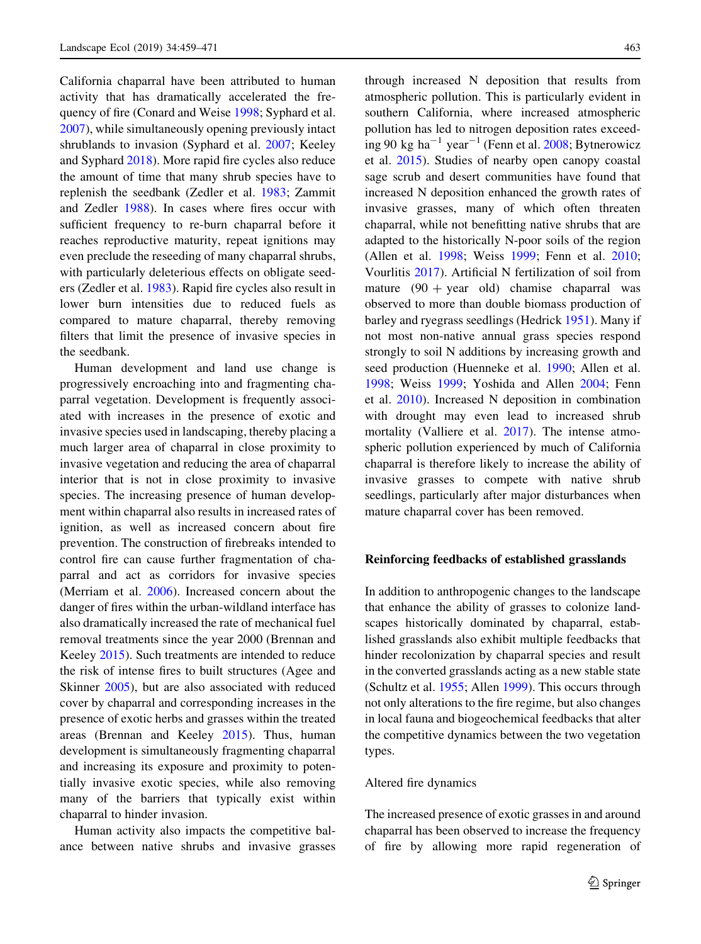California chaparral have been attributed to human activity that has dramatically accelerated the frequency of fire (Conard and Weise [1998;](#page-9-0) Syphard et al. [2007\)](#page-11-0), while simultaneously opening previously intact shrublands to invasion (Syphard et al. [2007](#page-11-0); Keeley and Syphard [2018](#page-10-0)). More rapid fire cycles also reduce the amount of time that many shrub species have to replenish the seedbank (Zedler et al. [1983;](#page-12-0) Zammit and Zedler [1988\)](#page-12-0). In cases where fires occur with sufficient frequency to re-burn chaparral before it reaches reproductive maturity, repeat ignitions may even preclude the reseeding of many chaparral shrubs, with particularly deleterious effects on obligate seeders (Zedler et al. [1983](#page-12-0)). Rapid fire cycles also result in lower burn intensities due to reduced fuels as compared to mature chaparral, thereby removing filters that limit the presence of invasive species in the seedbank.

Human development and land use change is progressively encroaching into and fragmenting chaparral vegetation. Development is frequently associated with increases in the presence of exotic and invasive species used in landscaping, thereby placing a much larger area of chaparral in close proximity to invasive vegetation and reducing the area of chaparral interior that is not in close proximity to invasive species. The increasing presence of human development within chaparral also results in increased rates of ignition, as well as increased concern about fire prevention. The construction of firebreaks intended to control fire can cause further fragmentation of chaparral and act as corridors for invasive species (Merriam et al. [2006\)](#page-11-0). Increased concern about the danger of fires within the urban-wildland interface has also dramatically increased the rate of mechanical fuel removal treatments since the year 2000 (Brennan and Keeley [2015\)](#page-9-0). Such treatments are intended to reduce the risk of intense fires to built structures (Agee and Skinner [2005\)](#page-9-0), but are also associated with reduced cover by chaparral and corresponding increases in the presence of exotic herbs and grasses within the treated areas (Brennan and Keeley [2015\)](#page-9-0). Thus, human development is simultaneously fragmenting chaparral and increasing its exposure and proximity to potentially invasive exotic species, while also removing many of the barriers that typically exist within chaparral to hinder invasion.

Human activity also impacts the competitive balance between native shrubs and invasive grasses through increased N deposition that results from atmospheric pollution. This is particularly evident in southern California, where increased atmospheric pollution has led to nitrogen deposition rates exceed-ing 90 kg ha<sup>-1</sup> year<sup>-1</sup> (Fenn et al. [2008](#page-10-0); Bytnerowicz et al. [2015\)](#page-9-0). Studies of nearby open canopy coastal sage scrub and desert communities have found that increased N deposition enhanced the growth rates of invasive grasses, many of which often threaten chaparral, while not benefitting native shrubs that are adapted to the historically N-poor soils of the region (Allen et al. [1998;](#page-9-0) Weiss [1999;](#page-12-0) Fenn et al. [2010](#page-10-0); Vourlitis [2017\)](#page-11-0). Artificial N fertilization of soil from mature  $(90 + year$  old) chamise chaparral was observed to more than double biomass production of barley and ryegrass seedlings (Hedrick [1951\)](#page-10-0). Many if not most non-native annual grass species respond strongly to soil N additions by increasing growth and seed production (Huenneke et al. [1990](#page-10-0); Allen et al. [1998;](#page-9-0) Weiss [1999](#page-12-0); Yoshida and Allen [2004;](#page-12-0) Fenn et al. [2010\)](#page-10-0). Increased N deposition in combination with drought may even lead to increased shrub mortality (Valliere et al. [2017](#page-11-0)). The intense atmospheric pollution experienced by much of California chaparral is therefore likely to increase the ability of invasive grasses to compete with native shrub seedlings, particularly after major disturbances when mature chaparral cover has been removed.

#### Reinforcing feedbacks of established grasslands

In addition to anthropogenic changes to the landscape that enhance the ability of grasses to colonize landscapes historically dominated by chaparral, established grasslands also exhibit multiple feedbacks that hinder recolonization by chaparral species and result in the converted grasslands acting as a new stable state (Schultz et al. [1955](#page-11-0); Allen [1999](#page-9-0)). This occurs through not only alterations to the fire regime, but also changes in local fauna and biogeochemical feedbacks that alter the competitive dynamics between the two vegetation types.

#### Altered fire dynamics

The increased presence of exotic grasses in and around chaparral has been observed to increase the frequency of fire by allowing more rapid regeneration of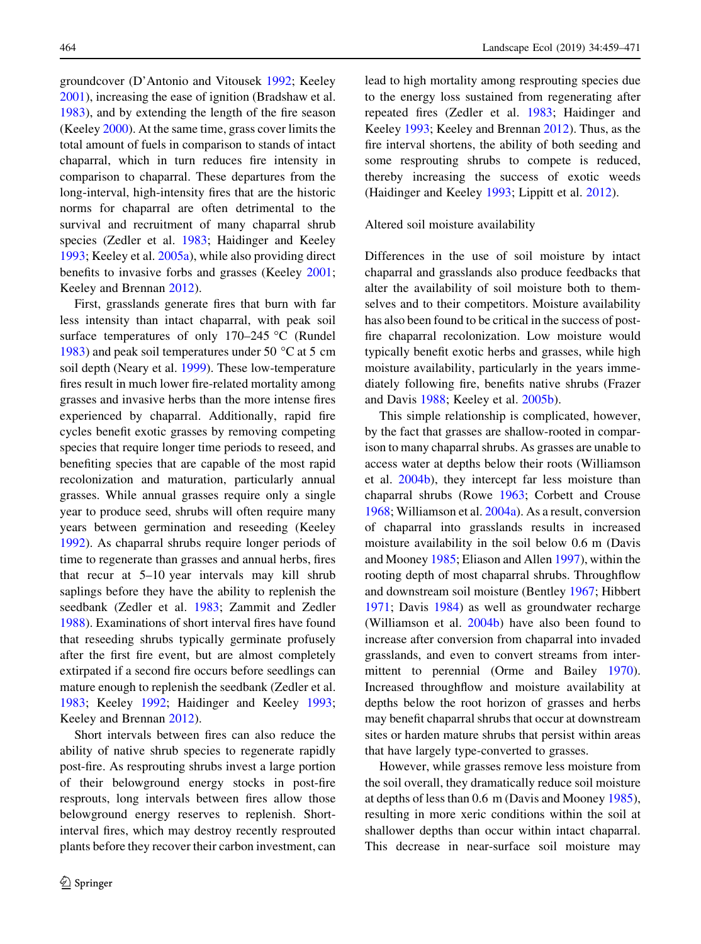groundcover (D'Antonio and Vitousek [1992;](#page-10-0) Keeley [2001\)](#page-10-0), increasing the ease of ignition (Bradshaw et al. [1983\)](#page-9-0), and by extending the length of the fire season (Keeley [2000](#page-10-0)). At the same time, grass cover limits the total amount of fuels in comparison to stands of intact chaparral, which in turn reduces fire intensity in comparison to chaparral. These departures from the long-interval, high-intensity fires that are the historic norms for chaparral are often detrimental to the survival and recruitment of many chaparral shrub species (Zedler et al. [1983;](#page-12-0) Haidinger and Keeley [1993;](#page-10-0) Keeley et al. [2005a\)](#page-10-0), while also providing direct benefits to invasive forbs and grasses (Keeley [2001](#page-10-0); Keeley and Brennan [2012\)](#page-10-0).

First, grasslands generate fires that burn with far less intensity than intact chaparral, with peak soil surface temperatures of only  $170-245$  °C (Rundel [1983\)](#page-11-0) and peak soil temperatures under 50  $^{\circ}$ C at 5 cm soil depth (Neary et al. [1999](#page-11-0)). These low-temperature fires result in much lower fire-related mortality among grasses and invasive herbs than the more intense fires experienced by chaparral. Additionally, rapid fire cycles benefit exotic grasses by removing competing species that require longer time periods to reseed, and benefiting species that are capable of the most rapid recolonization and maturation, particularly annual grasses. While annual grasses require only a single year to produce seed, shrubs will often require many years between germination and reseeding (Keeley [1992\)](#page-10-0). As chaparral shrubs require longer periods of time to regenerate than grasses and annual herbs, fires that recur at 5–10 year intervals may kill shrub saplings before they have the ability to replenish the seedbank (Zedler et al. [1983](#page-12-0); Zammit and Zedler [1988\)](#page-12-0). Examinations of short interval fires have found that reseeding shrubs typically germinate profusely after the first fire event, but are almost completely extirpated if a second fire occurs before seedlings can mature enough to replenish the seedbank (Zedler et al. [1983;](#page-12-0) Keeley [1992;](#page-10-0) Haidinger and Keeley [1993](#page-10-0); Keeley and Brennan [2012\)](#page-10-0).

Short intervals between fires can also reduce the ability of native shrub species to regenerate rapidly post-fire. As resprouting shrubs invest a large portion of their belowground energy stocks in post-fire resprouts, long intervals between fires allow those belowground energy reserves to replenish. Shortinterval fires, which may destroy recently resprouted plants before they recover their carbon investment, can lead to high mortality among resprouting species due to the energy loss sustained from regenerating after repeated fires (Zedler et al. [1983](#page-12-0); Haidinger and Keeley [1993;](#page-10-0) Keeley and Brennan [2012](#page-10-0)). Thus, as the fire interval shortens, the ability of both seeding and some resprouting shrubs to compete is reduced, thereby increasing the success of exotic weeds (Haidinger and Keeley [1993](#page-10-0); Lippitt et al. [2012\)](#page-11-0).

Altered soil moisture availability

Differences in the use of soil moisture by intact chaparral and grasslands also produce feedbacks that alter the availability of soil moisture both to themselves and to their competitors. Moisture availability has also been found to be critical in the success of postfire chaparral recolonization. Low moisture would typically benefit exotic herbs and grasses, while high moisture availability, particularly in the years immediately following fire, benefits native shrubs (Frazer and Davis [1988](#page-10-0); Keeley et al. [2005b\)](#page-11-0).

This simple relationship is complicated, however, by the fact that grasses are shallow-rooted in comparison to many chaparral shrubs. As grasses are unable to access water at depths below their roots (Williamson et al. [2004b](#page-12-0)), they intercept far less moisture than chaparral shrubs (Rowe [1963;](#page-11-0) Corbett and Crouse [1968;](#page-9-0) Williamson et al. [2004a](#page-12-0)). As a result, conversion of chaparral into grasslands results in increased moisture availability in the soil below 0.6 m (Davis and Mooney [1985](#page-10-0); Eliason and Allen [1997](#page-10-0)), within the rooting depth of most chaparral shrubs. Throughflow and downstream soil moisture (Bentley [1967](#page-9-0); Hibbert [1971;](#page-10-0) Davis [1984\)](#page-10-0) as well as groundwater recharge (Williamson et al. [2004b](#page-12-0)) have also been found to increase after conversion from chaparral into invaded grasslands, and even to convert streams from inter-mittent to perennial (Orme and Bailey [1970](#page-11-0)). Increased throughflow and moisture availability at depths below the root horizon of grasses and herbs may benefit chaparral shrubs that occur at downstream sites or harden mature shrubs that persist within areas that have largely type-converted to grasses.

However, while grasses remove less moisture from the soil overall, they dramatically reduce soil moisture at depths of less than 0.6 m (Davis and Mooney [1985](#page-10-0)), resulting in more xeric conditions within the soil at shallower depths than occur within intact chaparral. This decrease in near-surface soil moisture may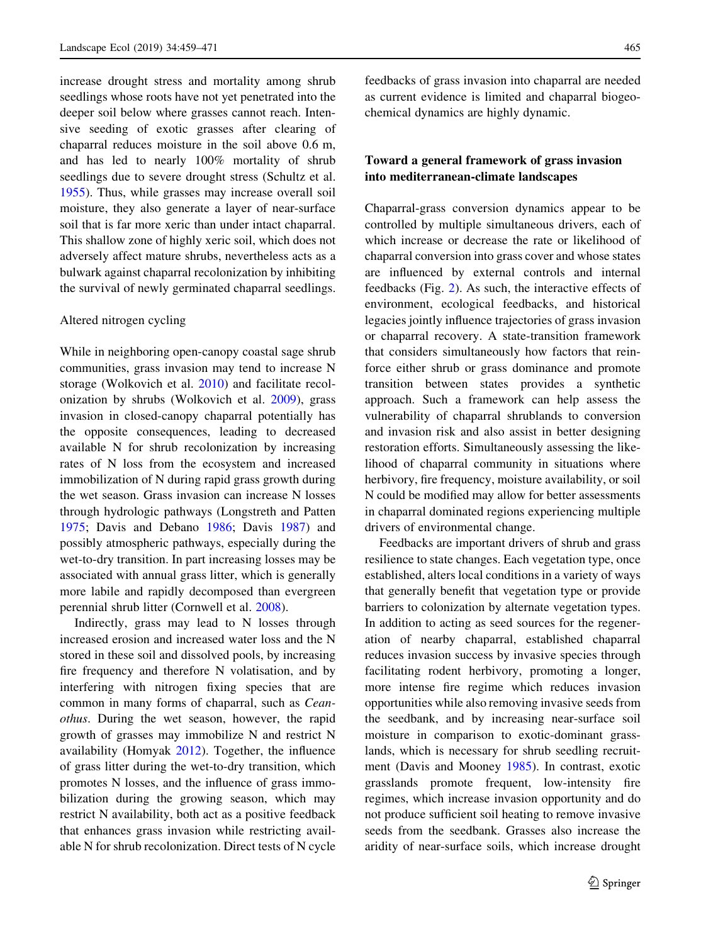increase drought stress and mortality among shrub seedlings whose roots have not yet penetrated into the deeper soil below where grasses cannot reach. Intensive seeding of exotic grasses after clearing of chaparral reduces moisture in the soil above 0.6 m, and has led to nearly 100% mortality of shrub seedlings due to severe drought stress (Schultz et al. [1955\)](#page-11-0). Thus, while grasses may increase overall soil moisture, they also generate a layer of near-surface soil that is far more xeric than under intact chaparral. This shallow zone of highly xeric soil, which does not adversely affect mature shrubs, nevertheless acts as a bulwark against chaparral recolonization by inhibiting the survival of newly germinated chaparral seedlings.

# Altered nitrogen cycling

While in neighboring open-canopy coastal sage shrub communities, grass invasion may tend to increase N storage (Wolkovich et al. [2010\)](#page-12-0) and facilitate recolonization by shrubs (Wolkovich et al. [2009](#page-12-0)), grass invasion in closed-canopy chaparral potentially has the opposite consequences, leading to decreased available N for shrub recolonization by increasing rates of N loss from the ecosystem and increased immobilization of N during rapid grass growth during the wet season. Grass invasion can increase N losses through hydrologic pathways (Longstreth and Patten [1975;](#page-11-0) Davis and Debano [1986](#page-10-0); Davis [1987\)](#page-10-0) and possibly atmospheric pathways, especially during the wet-to-dry transition. In part increasing losses may be associated with annual grass litter, which is generally more labile and rapidly decomposed than evergreen perennial shrub litter (Cornwell et al. [2008\)](#page-9-0).

Indirectly, grass may lead to N losses through increased erosion and increased water loss and the N stored in these soil and dissolved pools, by increasing fire frequency and therefore N volatisation, and by interfering with nitrogen fixing species that are common in many forms of chaparral, such as Ceanothus. During the wet season, however, the rapid growth of grasses may immobilize N and restrict N availability (Homyak [2012](#page-10-0)). Together, the influence of grass litter during the wet-to-dry transition, which promotes N losses, and the influence of grass immobilization during the growing season, which may restrict N availability, both act as a positive feedback that enhances grass invasion while restricting available N for shrub recolonization. Direct tests of N cycle feedbacks of grass invasion into chaparral are needed as current evidence is limited and chaparral biogeochemical dynamics are highly dynamic.

# Toward a general framework of grass invasion into mediterranean-climate landscapes

Chaparral-grass conversion dynamics appear to be controlled by multiple simultaneous drivers, each of which increase or decrease the rate or likelihood of chaparral conversion into grass cover and whose states are influenced by external controls and internal feedbacks (Fig. [2](#page-7-0)). As such, the interactive effects of environment, ecological feedbacks, and historical legacies jointly influence trajectories of grass invasion or chaparral recovery. A state-transition framework that considers simultaneously how factors that reinforce either shrub or grass dominance and promote transition between states provides a synthetic approach. Such a framework can help assess the vulnerability of chaparral shrublands to conversion and invasion risk and also assist in better designing restoration efforts. Simultaneously assessing the likelihood of chaparral community in situations where herbivory, fire frequency, moisture availability, or soil N could be modified may allow for better assessments in chaparral dominated regions experiencing multiple drivers of environmental change.

Feedbacks are important drivers of shrub and grass resilience to state changes. Each vegetation type, once established, alters local conditions in a variety of ways that generally benefit that vegetation type or provide barriers to colonization by alternate vegetation types. In addition to acting as seed sources for the regeneration of nearby chaparral, established chaparral reduces invasion success by invasive species through facilitating rodent herbivory, promoting a longer, more intense fire regime which reduces invasion opportunities while also removing invasive seeds from the seedbank, and by increasing near-surface soil moisture in comparison to exotic-dominant grasslands, which is necessary for shrub seedling recruitment (Davis and Mooney [1985](#page-10-0)). In contrast, exotic grasslands promote frequent, low-intensity fire regimes, which increase invasion opportunity and do not produce sufficient soil heating to remove invasive seeds from the seedbank. Grasses also increase the aridity of near-surface soils, which increase drought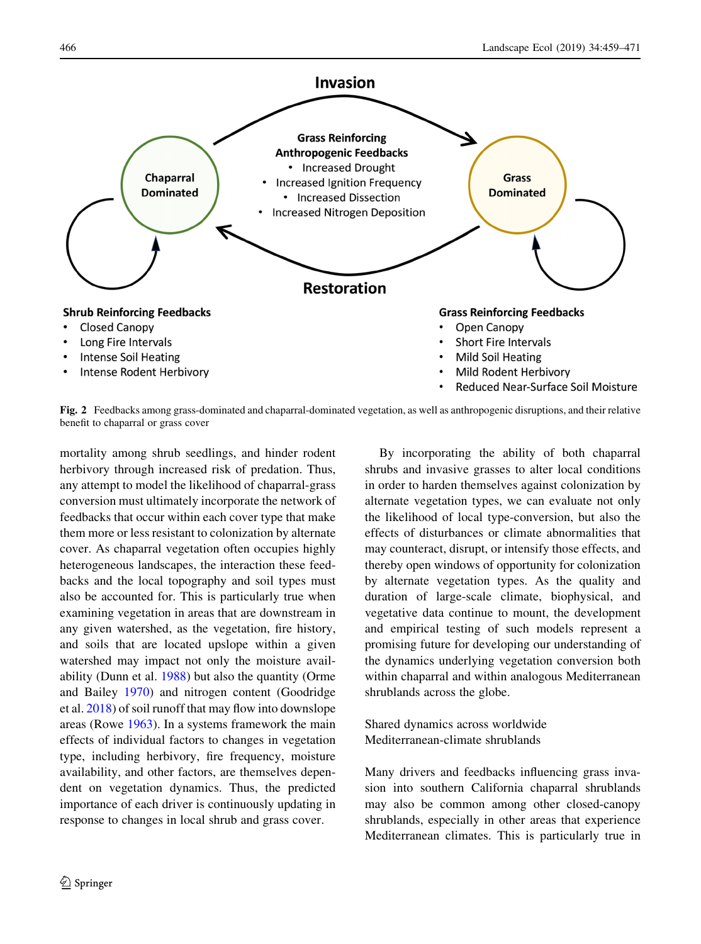<span id="page-7-0"></span>

Fig. 2 Feedbacks among grass-dominated and chaparral-dominated vegetation, as well as anthropogenic disruptions, and their relative benefit to chaparral or grass cover

mortality among shrub seedlings, and hinder rodent herbivory through increased risk of predation. Thus, any attempt to model the likelihood of chaparral-grass conversion must ultimately incorporate the network of feedbacks that occur within each cover type that make them more or less resistant to colonization by alternate cover. As chaparral vegetation often occupies highly heterogeneous landscapes, the interaction these feedbacks and the local topography and soil types must also be accounted for. This is particularly true when examining vegetation in areas that are downstream in any given watershed, as the vegetation, fire history, and soils that are located upslope within a given watershed may impact not only the moisture availability (Dunn et al. [1988\)](#page-10-0) but also the quantity (Orme and Bailey [1970\)](#page-11-0) and nitrogen content (Goodridge et al. [2018](#page-10-0)) of soil runoff that may flow into downslope areas (Rowe [1963](#page-11-0)). In a systems framework the main effects of individual factors to changes in vegetation type, including herbivory, fire frequency, moisture availability, and other factors, are themselves dependent on vegetation dynamics. Thus, the predicted importance of each driver is continuously updating in response to changes in local shrub and grass cover.

By incorporating the ability of both chaparral shrubs and invasive grasses to alter local conditions in order to harden themselves against colonization by alternate vegetation types, we can evaluate not only the likelihood of local type-conversion, but also the effects of disturbances or climate abnormalities that may counteract, disrupt, or intensify those effects, and thereby open windows of opportunity for colonization by alternate vegetation types. As the quality and duration of large-scale climate, biophysical, and vegetative data continue to mount, the development and empirical testing of such models represent a promising future for developing our understanding of the dynamics underlying vegetation conversion both within chaparral and within analogous Mediterranean shrublands across the globe.

Shared dynamics across worldwide Mediterranean-climate shrublands

Many drivers and feedbacks influencing grass invasion into southern California chaparral shrublands may also be common among other closed-canopy shrublands, especially in other areas that experience Mediterranean climates. This is particularly true in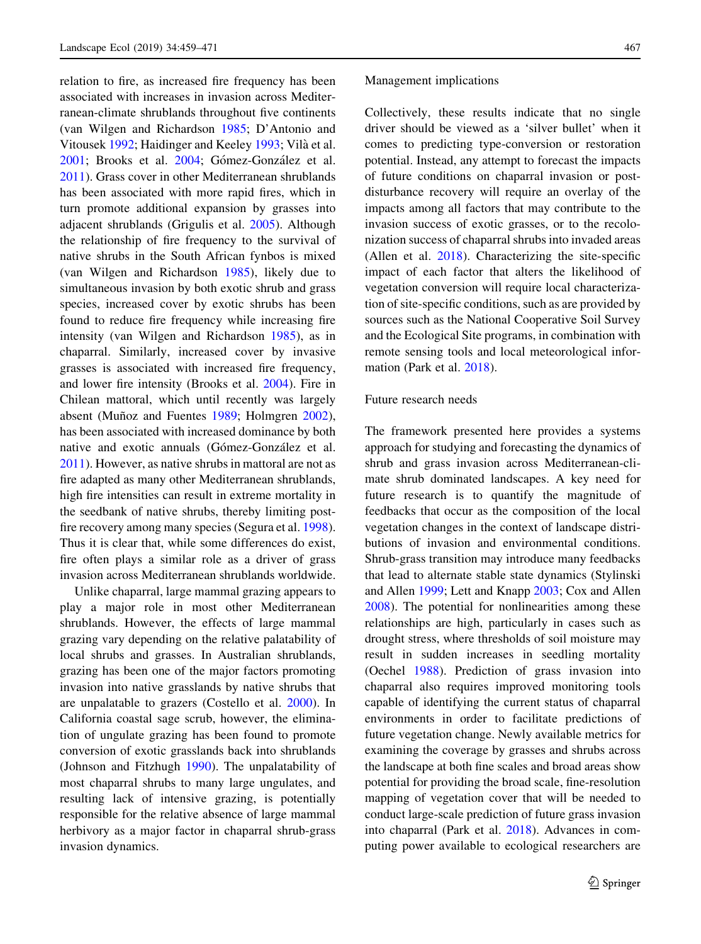relation to fire, as increased fire frequency has been associated with increases in invasion across Mediterranean-climate shrublands throughout five continents (van Wilgen and Richardson [1985](#page-11-0); D'Antonio and Vitousek [1992;](#page-10-0) Haidinger and Keeley [1993;](#page-10-0) Vilà et al. [2001;](#page-11-0) Brooks et al. [2004](#page-9-0); Gómez-González et al. [2011\)](#page-10-0). Grass cover in other Mediterranean shrublands has been associated with more rapid fires, which in turn promote additional expansion by grasses into adjacent shrublands (Grigulis et al. [2005\)](#page-10-0). Although the relationship of fire frequency to the survival of native shrubs in the South African fynbos is mixed (van Wilgen and Richardson [1985](#page-11-0)), likely due to simultaneous invasion by both exotic shrub and grass species, increased cover by exotic shrubs has been found to reduce fire frequency while increasing fire intensity (van Wilgen and Richardson [1985](#page-11-0)), as in chaparral. Similarly, increased cover by invasive grasses is associated with increased fire frequency, and lower fire intensity (Brooks et al. [2004](#page-9-0)). Fire in Chilean mattoral, which until recently was largely absent (Muñoz and Fuentes [1989](#page-11-0); Holmgren [2002](#page-10-0)), has been associated with increased dominance by both native and exotic annuals (Gómez-González et al. [2011\)](#page-10-0). However, as native shrubs in mattoral are not as fire adapted as many other Mediterranean shrublands, high fire intensities can result in extreme mortality in the seedbank of native shrubs, thereby limiting postfire recovery among many species (Segura et al. [1998](#page-11-0)). Thus it is clear that, while some differences do exist, fire often plays a similar role as a driver of grass invasion across Mediterranean shrublands worldwide.

Unlike chaparral, large mammal grazing appears to play a major role in most other Mediterranean shrublands. However, the effects of large mammal grazing vary depending on the relative palatability of local shrubs and grasses. In Australian shrublands, grazing has been one of the major factors promoting invasion into native grasslands by native shrubs that are unpalatable to grazers (Costello et al. [2000](#page-9-0)). In California coastal sage scrub, however, the elimination of ungulate grazing has been found to promote conversion of exotic grasslands back into shrublands (Johnson and Fitzhugh [1990\)](#page-10-0). The unpalatability of most chaparral shrubs to many large ungulates, and resulting lack of intensive grazing, is potentially responsible for the relative absence of large mammal herbivory as a major factor in chaparral shrub-grass invasion dynamics.

#### Management implications

Collectively, these results indicate that no single driver should be viewed as a 'silver bullet' when it comes to predicting type-conversion or restoration potential. Instead, any attempt to forecast the impacts of future conditions on chaparral invasion or postdisturbance recovery will require an overlay of the impacts among all factors that may contribute to the invasion success of exotic grasses, or to the recolonization success of chaparral shrubs into invaded areas (Allen et al. [2018](#page-9-0)). Characterizing the site-specific impact of each factor that alters the likelihood of vegetation conversion will require local characterization of site-specific conditions, such as are provided by sources such as the National Cooperative Soil Survey and the Ecological Site programs, in combination with remote sensing tools and local meteorological information (Park et al. [2018\)](#page-11-0).

## Future research needs

The framework presented here provides a systems approach for studying and forecasting the dynamics of shrub and grass invasion across Mediterranean-climate shrub dominated landscapes. A key need for future research is to quantify the magnitude of feedbacks that occur as the composition of the local vegetation changes in the context of landscape distributions of invasion and environmental conditions. Shrub-grass transition may introduce many feedbacks that lead to alternate stable state dynamics (Stylinski and Allen [1999;](#page-11-0) Lett and Knapp [2003;](#page-11-0) Cox and Allen [2008\)](#page-9-0). The potential for nonlinearities among these relationships are high, particularly in cases such as drought stress, where thresholds of soil moisture may result in sudden increases in seedling mortality (Oechel [1988\)](#page-11-0). Prediction of grass invasion into chaparral also requires improved monitoring tools capable of identifying the current status of chaparral environments in order to facilitate predictions of future vegetation change. Newly available metrics for examining the coverage by grasses and shrubs across the landscape at both fine scales and broad areas show potential for providing the broad scale, fine-resolution mapping of vegetation cover that will be needed to conduct large-scale prediction of future grass invasion into chaparral (Park et al. [2018](#page-11-0)). Advances in computing power available to ecological researchers are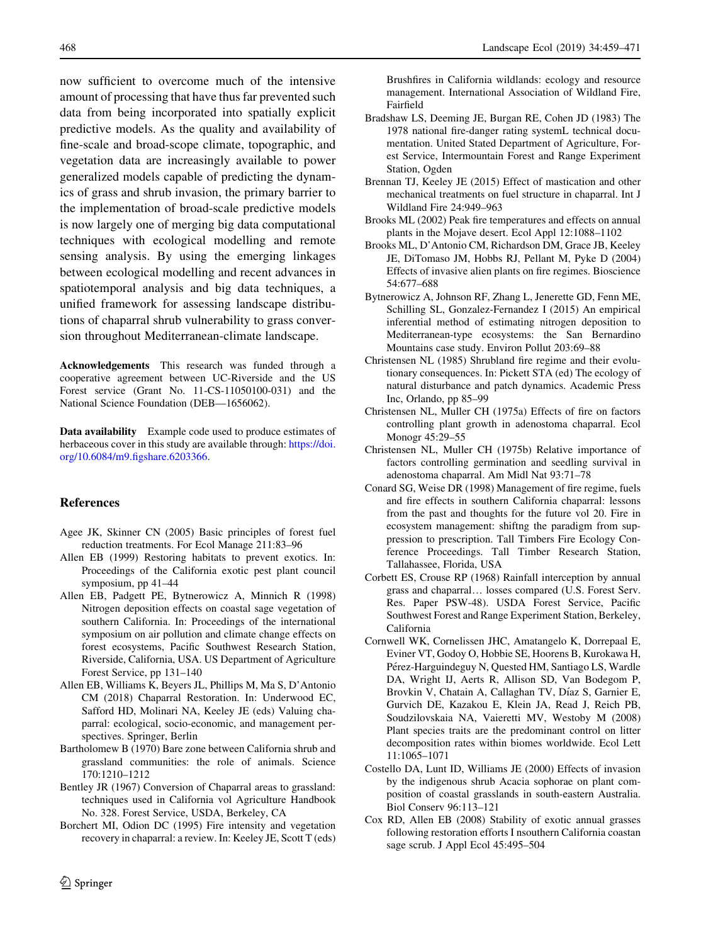<span id="page-9-0"></span>now sufficient to overcome much of the intensive amount of processing that have thus far prevented such data from being incorporated into spatially explicit predictive models. As the quality and availability of fine-scale and broad-scope climate, topographic, and vegetation data are increasingly available to power generalized models capable of predicting the dynamics of grass and shrub invasion, the primary barrier to the implementation of broad-scale predictive models is now largely one of merging big data computational techniques with ecological modelling and remote sensing analysis. By using the emerging linkages between ecological modelling and recent advances in spatiotemporal analysis and big data techniques, a unified framework for assessing landscape distributions of chaparral shrub vulnerability to grass conversion throughout Mediterranean-climate landscape.

Acknowledgements This research was funded through a cooperative agreement between UC-Riverside and the US Forest service (Grant No. 11-CS-11050100-031) and the National Science Foundation (DEB—1656062).

Data availability Example code used to produce estimates of herbaceous cover in this study are available through: [https://doi.](https://doi.org/10.6084/m9.figshare.6203366) [org/10.6084/m9.figshare.6203366.](https://doi.org/10.6084/m9.figshare.6203366)

## References

- Agee JK, Skinner CN (2005) Basic principles of forest fuel reduction treatments. For Ecol Manage 211:83–96
- Allen EB (1999) Restoring habitats to prevent exotics. In: Proceedings of the California exotic pest plant council symposium, pp 41–44
- Allen EB, Padgett PE, Bytnerowicz A, Minnich R (1998) Nitrogen deposition effects on coastal sage vegetation of southern California. In: Proceedings of the international symposium on air pollution and climate change effects on forest ecosystems, Pacific Southwest Research Station, Riverside, California, USA. US Department of Agriculture Forest Service, pp 131–140
- Allen EB, Williams K, Beyers JL, Phillips M, Ma S, D'Antonio CM (2018) Chaparral Restoration. In: Underwood EC, Safford HD, Molinari NA, Keeley JE (eds) Valuing chaparral: ecological, socio-economic, and management perspectives. Springer, Berlin
- Bartholomew B (1970) Bare zone between California shrub and grassland communities: the role of animals. Science 170:1210–1212
- Bentley JR (1967) Conversion of Chaparral areas to grassland: techniques used in California vol Agriculture Handbook No. 328. Forest Service, USDA, Berkeley, CA
- Borchert MI, Odion DC (1995) Fire intensity and vegetation recovery in chaparral: a review. In: Keeley JE, Scott T (eds)

Brushfires in California wildlands: ecology and resource management. International Association of Wildland Fire, Fairfield

- Bradshaw LS, Deeming JE, Burgan RE, Cohen JD (1983) The 1978 national fire-danger rating systemL technical documentation. United Stated Department of Agriculture, Forest Service, Intermountain Forest and Range Experiment Station, Ogden
- Brennan TJ, Keeley JE (2015) Effect of mastication and other mechanical treatments on fuel structure in chaparral. Int J Wildland Fire 24:949–963
- Brooks ML (2002) Peak fire temperatures and effects on annual plants in the Mojave desert. Ecol Appl 12:1088–1102
- Brooks ML, D'Antonio CM, Richardson DM, Grace JB, Keeley JE, DiTomaso JM, Hobbs RJ, Pellant M, Pyke D (2004) Effects of invasive alien plants on fire regimes. Bioscience 54:677–688
- Bytnerowicz A, Johnson RF, Zhang L, Jenerette GD, Fenn ME, Schilling SL, Gonzalez-Fernandez I (2015) An empirical inferential method of estimating nitrogen deposition to Mediterranean-type ecosystems: the San Bernardino Mountains case study. Environ Pollut 203:69–88
- Christensen NL (1985) Shrubland fire regime and their evolutionary consequences. In: Pickett STA (ed) The ecology of natural disturbance and patch dynamics. Academic Press Inc, Orlando, pp 85–99
- Christensen NL, Muller CH (1975a) Effects of fire on factors controlling plant growth in adenostoma chaparral. Ecol Monogr 45:29–55
- Christensen NL, Muller CH (1975b) Relative importance of factors controlling germination and seedling survival in adenostoma chaparral. Am Midl Nat 93:71–78
- Conard SG, Weise DR (1998) Management of fire regime, fuels and fire effects in southern California chaparral: lessons from the past and thoughts for the future vol 20. Fire in ecosystem management: shiftng the paradigm from suppression to prescription. Tall Timbers Fire Ecology Conference Proceedings. Tall Timber Research Station, Tallahassee, Florida, USA
- Corbett ES, Crouse RP (1968) Rainfall interception by annual grass and chaparral… losses compared (U.S. Forest Serv. Res. Paper PSW-48). USDA Forest Service, Pacific Southwest Forest and Range Experiment Station, Berkeley, California
- Cornwell WK, Cornelissen JHC, Amatangelo K, Dorrepaal E, Eviner VT, Godoy O, Hobbie SE, Hoorens B, Kurokawa H, Pérez-Harguindeguy N, Quested HM, Santiago LS, Wardle DA, Wright IJ, Aerts R, Allison SD, Van Bodegom P, Brovkin V, Chatain A, Callaghan TV, Díaz S, Garnier E, Gurvich DE, Kazakou E, Klein JA, Read J, Reich PB, Soudzilovskaia NA, Vaieretti MV, Westoby M (2008) Plant species traits are the predominant control on litter decomposition rates within biomes worldwide. Ecol Lett 11:1065–1071
- Costello DA, Lunt ID, Williams JE (2000) Effects of invasion by the indigenous shrub Acacia sophorae on plant composition of coastal grasslands in south-eastern Australia. Biol Conserv 96:113–121
- Cox RD, Allen EB (2008) Stability of exotic annual grasses following restoration efforts I nsouthern California coastan sage scrub. J Appl Ecol 45:495–504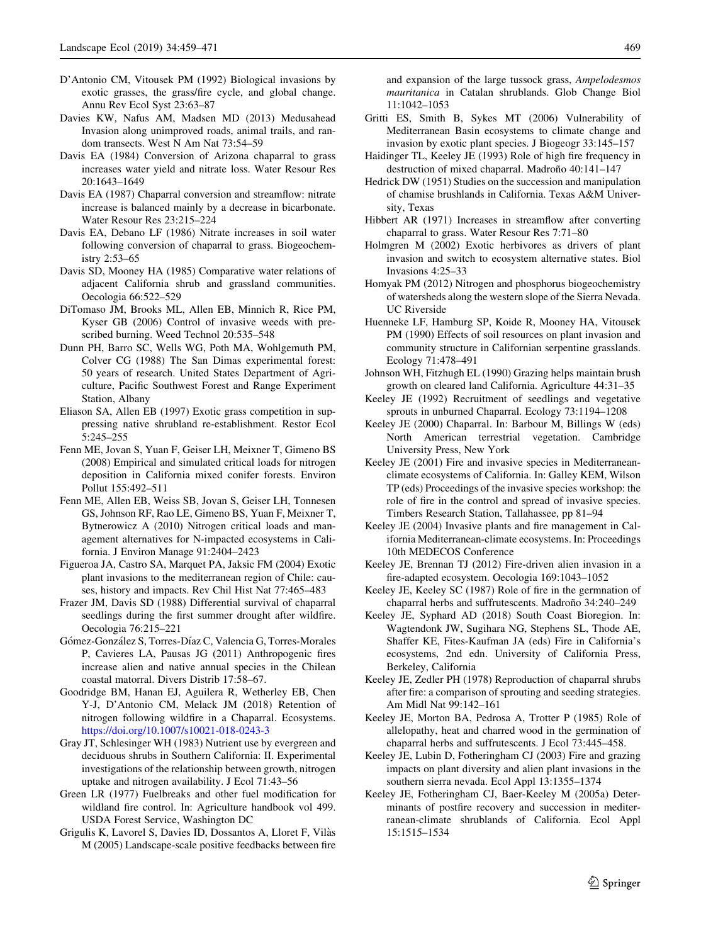- <span id="page-10-0"></span>D'Antonio CM, Vitousek PM (1992) Biological invasions by exotic grasses, the grass/fire cycle, and global change. Annu Rev Ecol Syst 23:63–87
- Davies KW, Nafus AM, Madsen MD (2013) Medusahead Invasion along unimproved roads, animal trails, and random transects. West N Am Nat 73:54–59
- Davis EA (1984) Conversion of Arizona chaparral to grass increases water yield and nitrate loss. Water Resour Res 20:1643–1649
- Davis EA (1987) Chaparral conversion and streamflow: nitrate increase is balanced mainly by a decrease in bicarbonate. Water Resour Res 23:215–224
- Davis EA, Debano LF (1986) Nitrate increases in soil water following conversion of chaparral to grass. Biogeochemistry 2:53–65
- Davis SD, Mooney HA (1985) Comparative water relations of adjacent California shrub and grassland communities. Oecologia 66:522–529
- DiTomaso JM, Brooks ML, Allen EB, Minnich R, Rice PM, Kyser GB (2006) Control of invasive weeds with prescribed burning. Weed Technol 20:535–548
- Dunn PH, Barro SC, Wells WG, Poth MA, Wohlgemuth PM, Colver CG (1988) The San Dimas experimental forest: 50 years of research. United States Department of Agriculture, Pacific Southwest Forest and Range Experiment Station, Albany
- Eliason SA, Allen EB (1997) Exotic grass competition in suppressing native shrubland re-establishment. Restor Ecol 5:245–255
- Fenn ME, Jovan S, Yuan F, Geiser LH, Meixner T, Gimeno BS (2008) Empirical and simulated critical loads for nitrogen deposition in California mixed conifer forests. Environ Pollut 155:492–511
- Fenn ME, Allen EB, Weiss SB, Jovan S, Geiser LH, Tonnesen GS, Johnson RF, Rao LE, Gimeno BS, Yuan F, Meixner T, Bytnerowicz A (2010) Nitrogen critical loads and management alternatives for N-impacted ecosystems in California. J Environ Manage 91:2404–2423
- Figueroa JA, Castro SA, Marquet PA, Jaksic FM (2004) Exotic plant invasions to the mediterranean region of Chile: causes, history and impacts. Rev Chil Hist Nat 77:465–483
- Frazer JM, Davis SD (1988) Differential survival of chaparral seedlings during the first summer drought after wildfire. Oecologia 76:215–221
- Gómez-González S, Torres-Díaz C, Valencia G, Torres-Morales P, Cavieres LA, Pausas JG (2011) Anthropogenic fires increase alien and native annual species in the Chilean coastal matorral. Divers Distrib 17:58–67.
- Goodridge BM, Hanan EJ, Aguilera R, Wetherley EB, Chen Y-J, D'Antonio CM, Melack JM (2018) Retention of nitrogen following wildfire in a Chaparral. Ecosystems. <https://doi.org/10.1007/s10021-018-0243-3>
- Gray JT, Schlesinger WH (1983) Nutrient use by evergreen and deciduous shrubs in Southern California: II. Experimental investigations of the relationship between growth, nitrogen uptake and nitrogen availability. J Ecol 71:43–56
- Green LR (1977) Fuelbreaks and other fuel modification for wildland fire control. In: Agriculture handbook vol 499. USDA Forest Service, Washington DC
- Grigulis K, Lavorel S, Davies ID, Dossantos A, Lloret F, Vila`s M (2005) Landscape-scale positive feedbacks between fire

and expansion of the large tussock grass, Ampelodesmos mauritanica in Catalan shrublands. Glob Change Biol 11:1042–1053

- Gritti ES, Smith B, Sykes MT (2006) Vulnerability of Mediterranean Basin ecosystems to climate change and invasion by exotic plant species. J Biogeogr 33:145–157
- Haidinger TL, Keeley JE (1993) Role of high fire frequency in destruction of mixed chaparral. Madroño 40:141-147
- Hedrick DW (1951) Studies on the succession and manipulation of chamise brushlands in California. Texas A&M University, Texas
- Hibbert AR (1971) Increases in streamflow after converting chaparral to grass. Water Resour Res 7:71–80
- Holmgren M (2002) Exotic herbivores as drivers of plant invasion and switch to ecosystem alternative states. Biol Invasions 4:25–33
- Homyak PM (2012) Nitrogen and phosphorus biogeochemistry of watersheds along the western slope of the Sierra Nevada. UC Riverside
- Huenneke LF, Hamburg SP, Koide R, Mooney HA, Vitousek PM (1990) Effects of soil resources on plant invasion and community structure in Californian serpentine grasslands. Ecology 71:478–491
- Johnson WH, Fitzhugh EL (1990) Grazing helps maintain brush growth on cleared land California. Agriculture 44:31–35
- Keeley JE (1992) Recruitment of seedlings and vegetative sprouts in unburned Chaparral. Ecology 73:1194–1208
- Keeley JE (2000) Chaparral. In: Barbour M, Billings W (eds) North American terrestrial vegetation. Cambridge University Press, New York
- Keeley JE (2001) Fire and invasive species in Mediterraneanclimate ecosystems of California. In: Galley KEM, Wilson TP (eds) Proceedings of the invasive species workshop: the role of fire in the control and spread of invasive species. Timbers Research Station, Tallahassee, pp 81–94
- Keeley JE (2004) Invasive plants and fire management in California Mediterranean-climate ecosystems. In: Proceedings 10th MEDECOS Conference
- Keeley JE, Brennan TJ (2012) Fire-driven alien invasion in a fire-adapted ecosystem. Oecologia 169:1043–1052
- Keeley JE, Keeley SC (1987) Role of fire in the germnation of chaparral herbs and suffrutescents. Madroño 34:240-249
- Keeley JE, Syphard AD (2018) South Coast Bioregion. In: Wagtendonk JW, Sugihara NG, Stephens SL, Thode AE, Shaffer KE, Fites-Kaufman JA (eds) Fire in California's ecosystems, 2nd edn. University of California Press, Berkeley, California
- Keeley JE, Zedler PH (1978) Reproduction of chaparral shrubs after fire: a comparison of sprouting and seeding strategies. Am Midl Nat 99:142–161
- Keeley JE, Morton BA, Pedrosa A, Trotter P (1985) Role of allelopathy, heat and charred wood in the germination of chaparral herbs and suffrutescents. J Ecol 73:445–458.
- Keeley JE, Lubin D, Fotheringham CJ (2003) Fire and grazing impacts on plant diversity and alien plant invasions in the southern sierra nevada. Ecol Appl 13:1355–1374
- Keeley JE, Fotheringham CJ, Baer-Keeley M (2005a) Determinants of postfire recovery and succession in mediterranean-climate shrublands of California. Ecol Appl 15:1515–1534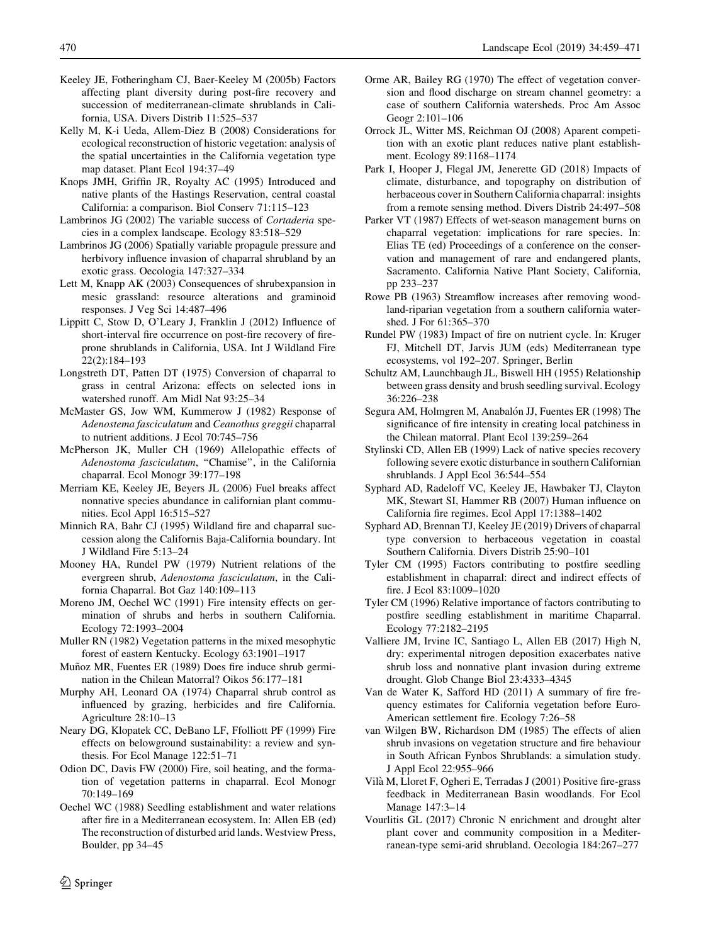- <span id="page-11-0"></span>Keeley JE, Fotheringham CJ, Baer-Keeley M (2005b) Factors affecting plant diversity during post-fire recovery and succession of mediterranean-climate shrublands in California, USA. Divers Distrib 11:525–537
- Kelly M, K-i Ueda, Allem-Diez B (2008) Considerations for ecological reconstruction of historic vegetation: analysis of the spatial uncertainties in the California vegetation type map dataset. Plant Ecol 194:37–49
- Knops JMH, Griffin JR, Royalty AC (1995) Introduced and native plants of the Hastings Reservation, central coastal California: a comparison. Biol Conserv 71:115–123
- Lambrinos JG (2002) The variable success of Cortaderia species in a complex landscape. Ecology 83:518–529
- Lambrinos JG (2006) Spatially variable propagule pressure and herbivory influence invasion of chaparral shrubland by an exotic grass. Oecologia 147:327–334
- Lett M, Knapp AK (2003) Consequences of shrubexpansion in mesic grassland: resource alterations and graminoid responses. J Veg Sci 14:487–496
- Lippitt C, Stow D, O'Leary J, Franklin J (2012) Influence of short-interval fire occurrence on post-fire recovery of fireprone shrublands in California, USA. Int J Wildland Fire 22(2):184–193
- Longstreth DT, Patten DT (1975) Conversion of chaparral to grass in central Arizona: effects on selected ions in watershed runoff. Am Midl Nat 93:25–34
- McMaster GS, Jow WM, Kummerow J (1982) Response of Adenostema fasciculatum and Ceanothus greggii chaparral to nutrient additions. J Ecol 70:745–756
- McPherson JK, Muller CH (1969) Allelopathic effects of Adenostoma fasciculatum, ''Chamise'', in the California chaparral. Ecol Monogr 39:177–198
- Merriam KE, Keeley JE, Beyers JL (2006) Fuel breaks affect nonnative species abundance in californian plant communities. Ecol Appl 16:515–527
- Minnich RA, Bahr CJ (1995) Wildland fire and chaparral succession along the Californis Baja-California boundary. Int J Wildland Fire 5:13–24
- Mooney HA, Rundel PW (1979) Nutrient relations of the evergreen shrub, Adenostoma fasciculatum, in the California Chaparral. Bot Gaz 140:109–113
- Moreno JM, Oechel WC (1991) Fire intensity effects on germination of shrubs and herbs in southern California. Ecology 72:1993–2004
- Muller RN (1982) Vegetation patterns in the mixed mesophytic forest of eastern Kentucky. Ecology 63:1901–1917
- Muñoz MR, Fuentes ER (1989) Does fire induce shrub germination in the Chilean Matorral? Oikos 56:177–181
- Murphy AH, Leonard OA (1974) Chaparral shrub control as influenced by grazing, herbicides and fire California. Agriculture 28:10–13
- Neary DG, Klopatek CC, DeBano LF, Ffolliott PF (1999) Fire effects on belowground sustainability: a review and synthesis. For Ecol Manage 122:51–71
- Odion DC, Davis FW (2000) Fire, soil heating, and the formation of vegetation patterns in chaparral. Ecol Monogr 70:149–169
- Oechel WC (1988) Seedling establishment and water relations after fire in a Mediterranean ecosystem. In: Allen EB (ed) The reconstruction of disturbed arid lands. Westview Press, Boulder, pp 34–45
- Orme AR, Bailey RG (1970) The effect of vegetation conversion and flood discharge on stream channel geometry: a case of southern California watersheds. Proc Am Assoc Geogr 2:101–106
- Orrock JL, Witter MS, Reichman OJ (2008) Aparent competition with an exotic plant reduces native plant establishment. Ecology 89:1168–1174
- Park I, Hooper J, Flegal JM, Jenerette GD (2018) Impacts of climate, disturbance, and topography on distribution of herbaceous cover in Southern California chaparral: insights from a remote sensing method. Divers Distrib 24:497–508
- Parker VT (1987) Effects of wet-season management burns on chaparral vegetation: implications for rare species. In: Elias TE (ed) Proceedings of a conference on the conservation and management of rare and endangered plants, Sacramento. California Native Plant Society, California, pp 233–237
- Rowe PB (1963) Streamflow increases after removing woodland-riparian vegetation from a southern california watershed. J For 61:365–370
- Rundel PW (1983) Impact of fire on nutrient cycle. In: Kruger FJ, Mitchell DT, Jarvis JUM (eds) Mediterranean type ecosystems, vol 192–207. Springer, Berlin
- Schultz AM, Launchbaugh JL, Biswell HH (1955) Relationship between grass density and brush seedling survival. Ecology 36:226–238
- Segura AM, Holmgren M, Anabalón JJ, Fuentes ER (1998) The significance of fire intensity in creating local patchiness in the Chilean matorral. Plant Ecol 139:259–264
- Stylinski CD, Allen EB (1999) Lack of native species recovery following severe exotic disturbance in southern Californian shrublands. J Appl Ecol 36:544–554
- Syphard AD, Radeloff VC, Keeley JE, Hawbaker TJ, Clayton MK, Stewart SI, Hammer RB (2007) Human influence on California fire regimes. Ecol Appl 17:1388–1402
- Syphard AD, Brennan TJ, Keeley JE (2019) Drivers of chaparral type conversion to herbaceous vegetation in coastal Southern California. Divers Distrib 25:90–101
- Tyler CM (1995) Factors contributing to postfire seedling establishment in chaparral: direct and indirect effects of fire. J Ecol 83:1009–1020
- Tyler CM (1996) Relative importance of factors contributing to postfire seedling establishment in maritime Chaparral. Ecology 77:2182–2195
- Valliere JM, Irvine IC, Santiago L, Allen EB (2017) High N, dry: experimental nitrogen deposition exacerbates native shrub loss and nonnative plant invasion during extreme drought. Glob Change Biol 23:4333–4345
- Van de Water K, Safford HD (2011) A summary of fire frequency estimates for California vegetation before Euro-American settlement fire. Ecology 7:26–58
- van Wilgen BW, Richardson DM (1985) The effects of alien shrub invasions on vegetation structure and fire behaviour in South African Fynbos Shrublands: a simulation study. J Appl Ecol 22:955–966
- Vila` M, Lloret F, Ogheri E, Terradas J (2001) Positive fire-grass feedback in Mediterranean Basin woodlands. For Ecol Manage 147:3–14
- Vourlitis GL (2017) Chronic N enrichment and drought alter plant cover and community composition in a Mediterranean-type semi-arid shrubland. Oecologia 184:267–277